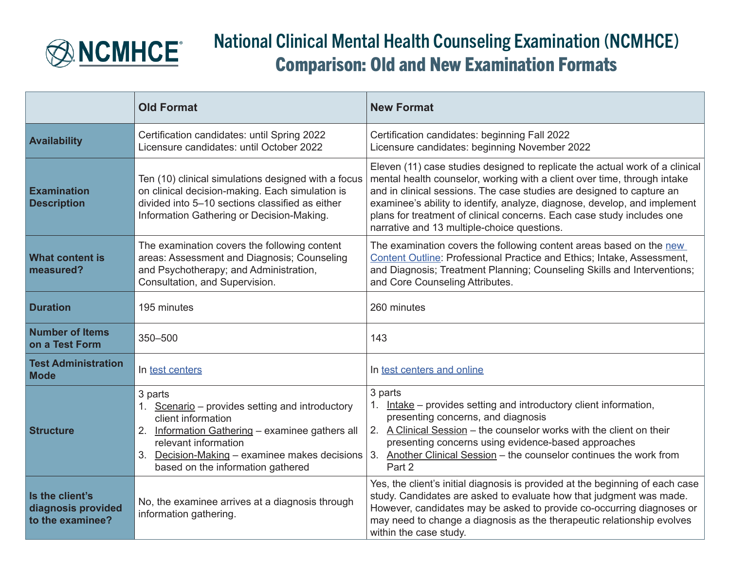

## National Clinical Mental Health Counseling Examination (NCMHCE) Comparison: Old and New Examination Formats

|                                                           | <b>Old Format</b>                                                                                                                                                                                                                                 | <b>New Format</b>                                                                                                                                                                                                                                                                                                                                                                                                                       |
|-----------------------------------------------------------|---------------------------------------------------------------------------------------------------------------------------------------------------------------------------------------------------------------------------------------------------|-----------------------------------------------------------------------------------------------------------------------------------------------------------------------------------------------------------------------------------------------------------------------------------------------------------------------------------------------------------------------------------------------------------------------------------------|
| <b>Availability</b>                                       | Certification candidates: until Spring 2022<br>Licensure candidates: until October 2022                                                                                                                                                           | Certification candidates: beginning Fall 2022<br>Licensure candidates: beginning November 2022                                                                                                                                                                                                                                                                                                                                          |
| <b>Examination</b><br><b>Description</b>                  | Ten (10) clinical simulations designed with a focus<br>on clinical decision-making. Each simulation is<br>divided into 5-10 sections classified as either<br>Information Gathering or Decision-Making.                                            | Eleven (11) case studies designed to replicate the actual work of a clinical<br>mental health counselor, working with a client over time, through intake<br>and in clinical sessions. The case studies are designed to capture an<br>examinee's ability to identify, analyze, diagnose, develop, and implement<br>plans for treatment of clinical concerns. Each case study includes one<br>narrative and 13 multiple-choice questions. |
| <b>What content is</b><br>measured?                       | The examination covers the following content<br>areas: Assessment and Diagnosis; Counseling<br>and Psychotherapy; and Administration,<br>Consultation, and Supervision.                                                                           | The examination covers the following content areas based on the new<br>Content Outline: Professional Practice and Ethics; Intake, Assessment,<br>and Diagnosis; Treatment Planning; Counseling Skills and Interventions;<br>and Core Counseling Attributes.                                                                                                                                                                             |
| <b>Duration</b>                                           | 195 minutes                                                                                                                                                                                                                                       | 260 minutes                                                                                                                                                                                                                                                                                                                                                                                                                             |
| <b>Number of Items</b><br>on a Test Form                  | 350-500                                                                                                                                                                                                                                           | 143                                                                                                                                                                                                                                                                                                                                                                                                                                     |
| <b>Test Administration</b><br><b>Mode</b>                 | In test centers                                                                                                                                                                                                                                   | In test centers and online                                                                                                                                                                                                                                                                                                                                                                                                              |
| <b>Structure</b>                                          | 3 parts<br>1. Scenario – provides setting and introductory<br>client information<br>2. Information Gathering - examinee gathers all<br>relevant information<br>3. Decision-Making - examinee makes decisions<br>based on the information gathered | 3 parts<br>1. Intake – provides setting and introductory client information,<br>presenting concerns, and diagnosis<br>2. A Clinical Session - the counselor works with the client on their<br>presenting concerns using evidence-based approaches<br>3. Another Clinical Session - the counselor continues the work from<br>Part 2                                                                                                      |
| Is the client's<br>diagnosis provided<br>to the examinee? | No, the examinee arrives at a diagnosis through<br>information gathering.                                                                                                                                                                         | Yes, the client's initial diagnosis is provided at the beginning of each case<br>study. Candidates are asked to evaluate how that judgment was made.<br>However, candidates may be asked to provide co-occurring diagnoses or<br>may need to change a diagnosis as the therapeutic relationship evolves<br>within the case study.                                                                                                       |